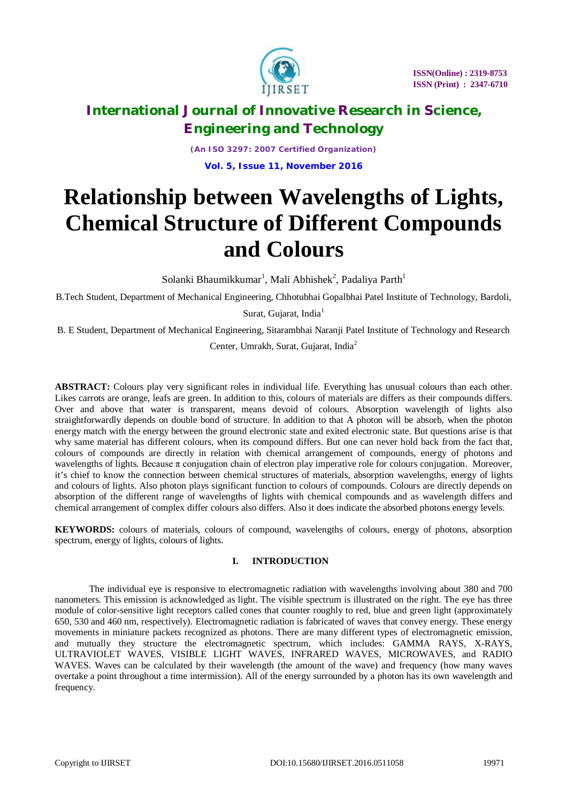

*(An ISO 3297: 2007 Certified Organization)* **Vol. 5, Issue 11, November 2016**

# **Relationship between Wavelengths of Lights, Chemical Structure of Different Compounds and Colours**

Solanki Bhaumikkumar<sup>1</sup>, Mali Abhishek<sup>2</sup>, Padaliya Parth<sup>1</sup>

B.Tech Student, Department of Mechanical Engineering, Chhotubhai Gopalbhai Patel Institute of Technology, Bardoli,

Surat, Gujarat, India<sup>1</sup>

B. E Student, Department of Mechanical Engineering, Sitarambhai Naranji Patel Institute of Technology and Research

Center, Umrakh, Surat, Gujarat, India<sup>2</sup>

**ABSTRACT:** Colours play very significant roles in individual life. Everything has unusual colours than each other. Likes carrots are orange, leafs are green. In addition to this, colours of materials are differs as their compounds differs. Over and above that water is transparent, means devoid of colours. Absorption wavelength of lights also straightforwardly depends on double bond of structure. In addition to that A photon will be absorb, when the photon energy match with the energy between the ground electronic state and exited electronic state. But questions arise is that why same material has different colours, when its compound differs. But one can never hold back from the fact that, colours of compounds are directly in relation with chemical arrangement of compounds, energy of photons and wavelengths of lights. Because  $\pi$  conjugation chain of electron play imperative role for colours conjugation. Moreover, it's chief to know the connection between chemical structures of materials, absorption wavelengths, energy of lights and colours of lights. Also photon plays significant function to colours of compounds. Colours are directly depends on absorption of the different range of wavelengths of lights with chemical compounds and as wavelength differs and chemical arrangement of complex differ colours also differs. Also it does indicate the absorbed photons energy levels.

**KEYWORDS:** colours of materials, colours of compound, wavelengths of colours, energy of photons, absorption spectrum, energy of lights, colours of lights.

### **I. INTRODUCTION**

The individual eye is responsive to electromagnetic radiation with wavelengths involving about 380 and 700 nanometers. This emission is acknowledged as light. The visible spectrum is illustrated on the right. The eye has three module of color-sensitive light receptors called cones that counter roughly to red, blue and green light (approximately 650, 530 and 460 nm, respectively). Electromagnetic radiation is fabricated of waves that convey energy. These energy movements in miniature packets recognized as photons. There are many different types of electromagnetic emission, and mutually they structure the electromagnetic spectrum, which includes: GAMMA RAYS, X-RAYS, ULTRAVIOLET WAVES, VISIBLE LIGHT WAVES, INFRARED WAVES, MICROWAVES, and RADIO WAVES. Waves can be calculated by their wavelength (the amount of the wave) and frequency (how many waves overtake a point throughout a time intermission). All of the energy surrounded by a photon has its own wavelength and frequency.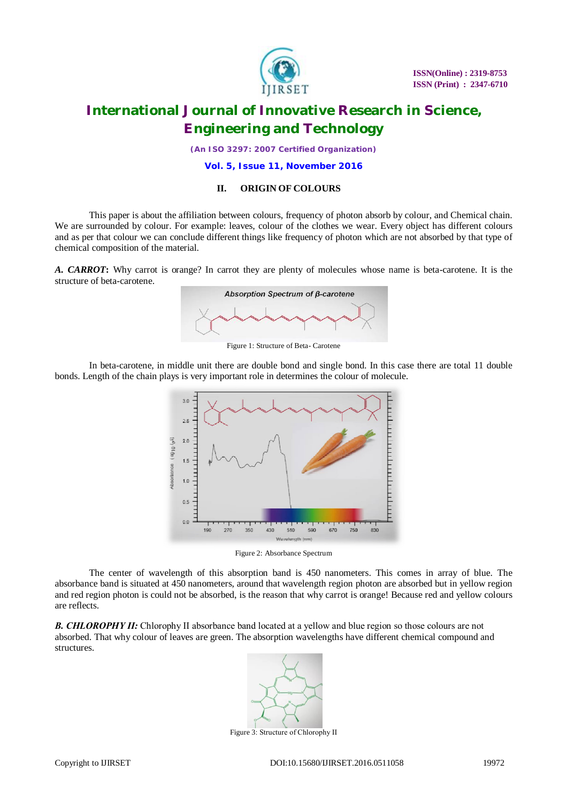

 **ISSN(Online) : 2319-8753 ISSN (Print) : 2347-6710**

## **International Journal of Innovative Research in Science, Engineering and Technology**

*(An ISO 3297: 2007 Certified Organization)*

#### **Vol. 5, Issue 11, November 2016**

#### **II. ORIGIN OF COLOURS**

This paper is about the affiliation between colours, frequency of photon absorb by colour, and Chemical chain. We are surrounded by colour. For example: leaves, colour of the clothes we wear. Every object has different colours and as per that colour we can conclude different things like frequency of photon which are not absorbed by that type of chemical composition of the material.

*A. CARROT***:** Why carrot is orange? In carrot they are plenty of molecules whose name is beta-carotene. It is the structure of beta-carotene.



Figure 1: Structure of Beta- Carotene

In beta-carotene, in middle unit there are double bond and single bond. In this case there are total 11 double bonds. Length of the chain plays is very important role in determines the colour of molecule.



Figure 2: Absorbance Spectrum

The center of wavelength of this absorption band is 450 nanometers. This comes in array of blue. The absorbance band is situated at 450 nanometers, around that wavelength region photon are absorbed but in yellow region and red region photon is could not be absorbed, is the reason that why carrot is orange! Because red and yellow colours are reflects.

*B. CHLOROPHY ΙΙ:* Chlorophy ΙΙ absorbance band located at a yellow and blue region so those colours are not absorbed. That why colour of leaves are green. The absorption wavelengths have different chemical compound and structures.



Figure 3: Structure of Chlorophy ΙΙ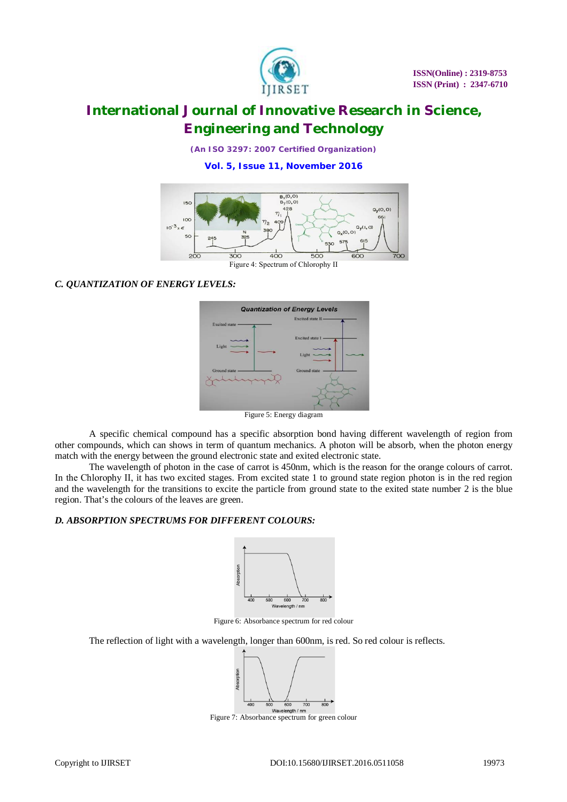

*(An ISO 3297: 2007 Certified Organization)*

**Vol. 5, Issue 11, November 2016**



### *C. QUANTIZATION OF ENERGY LEVELS:*



A specific chemical compound has a specific absorption bond having different wavelength of region from other compounds, which can shows in term of quantum mechanics. A photon will be absorb, when the photon energy match with the energy between the ground electronic state and exited electronic state.

The wavelength of photon in the case of carrot is 450nm, which is the reason for the orange colours of carrot. In the Chlorophy ΙΙ, it has two excited stages. From excited state 1 to ground state region photon is in the red region and the wavelength for the transitions to excite the particle from ground state to the exited state number 2 is the blue region. That's the colours of the leaves are green.

### *D. ABSORPTION SPECTRUMS FOR DIFFERENT COLOURS:*



Figure 6: Absorbance spectrum for red colour

The reflection of light with a wavelength, longer than 600nm, is red. So red colour is reflects.



Figure 7: Absorbance spectrum for green colour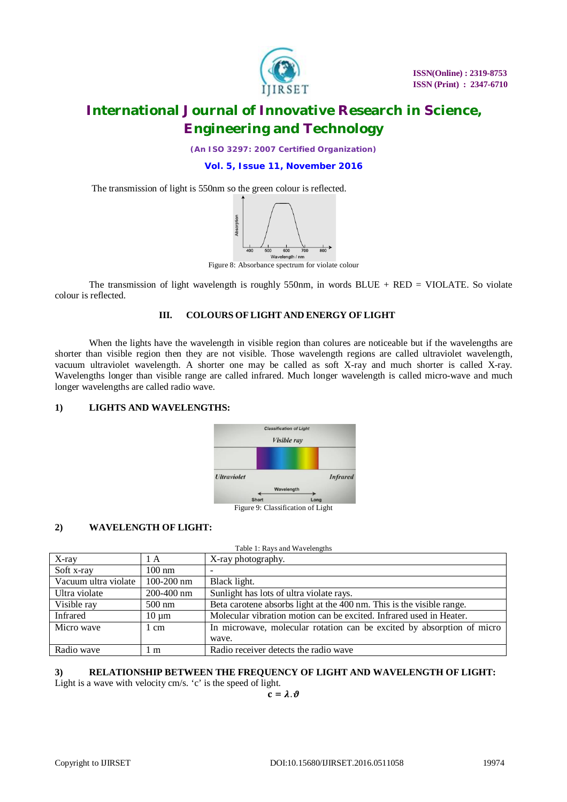

*(An ISO 3297: 2007 Certified Organization)*

**Vol. 5, Issue 11, November 2016**

The transmission of light is 550nm so the green colour is reflected.



Figure 8: Absorbance spectrum for violate colour

The transmission of light wavelength is roughly 550nm, in words  $BLUE + RED = VIOLATE$ . So violate colour is reflected.

#### **III. COLOURS OF LIGHT AND ENERGY OF LIGHT**

When the lights have the wavelength in visible region than colures are noticeable but if the wavelengths are shorter than visible region then they are not visible. Those wavelength regions are called ultraviolet wavelength, vacuum ultraviolet wavelength. A shorter one may be called as soft X-ray and much shorter is called X-ray. Wavelengths longer than visible range are called infrared. Much longer wavelength is called micro-wave and much longer wavelengths are called radio wave.

### **1) LIGHTS AND WAVELENGTHS:**



### **2) WAVELENGTH OF LIGHT:**

| Table 1: Rays and Wavelengths |                  |                                                                        |  |
|-------------------------------|------------------|------------------------------------------------------------------------|--|
| $X$ -ray                      | 1 A              | X-ray photography.                                                     |  |
| Soft x-ray                    | $100 \text{ nm}$ |                                                                        |  |
| Vacuum ultra violate          | $100 - 200$ nm   | Black light.                                                           |  |
| Ultra violate                 | 200-400 nm       | Sunlight has lots of ultra violate rays.                               |  |
| Visible ray                   | $500 \text{ nm}$ | Beta carotene absorbs light at the 400 nm. This is the visible range.  |  |
| Infrared                      | $10 \mu m$       | Molecular vibration motion can be excited. Infrared used in Heater.    |  |
| Micro wave                    | 1 cm             | In microwave, molecular rotation can be excited by absorption of micro |  |
|                               |                  | wave.                                                                  |  |
| Radio wave                    | l m              | Radio receiver detects the radio wave                                  |  |

### **3) RELATIONSHIP BETWEEN THE FREQUENCY OF LIGHT AND WAVELENGTH OF LIGHT:**

Light is a wave with velocity cm/s. 'c' is the speed of light.

 $\mathbf{c} = \lambda \cdot \boldsymbol{\vartheta}$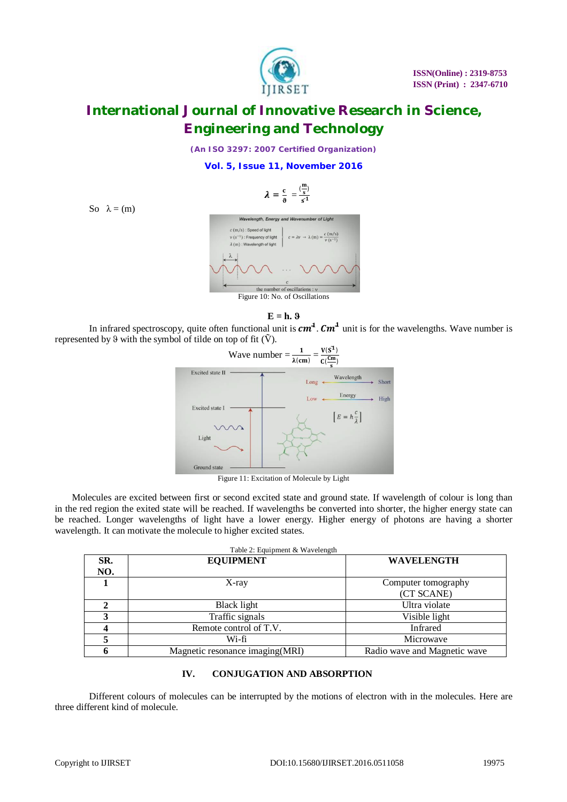

*(An ISO 3297: 2007 Certified Organization)*

**Vol. 5, Issue 11, November 2016**



the number of oscillations : v Figure 10: No. of Oscillations





In infrared spectroscopy, quite often functional unit is  $cm<sup>4</sup>$ .  $cm<sup>4</sup>$  unit is for the wavelengths. Wave number is represented by  $\vartheta$  with the symbol of tilde on top of fit  $(\tilde{V})$ .



Figure 11: Excitation of Molecule by Light

Molecules are excited between first or second excited state and ground state. If wavelength of colour is long than in the red region the exited state will be reached. If wavelengths be converted into shorter, the higher energy state can be reached. Longer wavelengths of light have a lower energy. Higher energy of photons are having a shorter wavelength. It can motivate the molecule to higher excited states.

| Table 2: Equipment & Wavelength |                                  |                              |  |
|---------------------------------|----------------------------------|------------------------------|--|
| SR.                             | <b>EQUIPMENT</b>                 | <b>WAVELENGTH</b>            |  |
| NO.                             |                                  |                              |  |
|                                 | $X$ -ray                         | Computer tomography          |  |
|                                 |                                  | (CT SCANE)                   |  |
|                                 | Black light                      | Ultra violate                |  |
|                                 | Traffic signals                  | Visible light                |  |
|                                 | Remote control of T.V.           | Infrared                     |  |
|                                 | Wi-fi                            | Microwave                    |  |
|                                 | Magnetic resonance imaging (MRI) | Radio wave and Magnetic wave |  |

### **IV. CONJUGATION AND ABSORPTION**

Different colours of molecules can be interrupted by the motions of electron with in the molecules. Here are three different kind of molecule.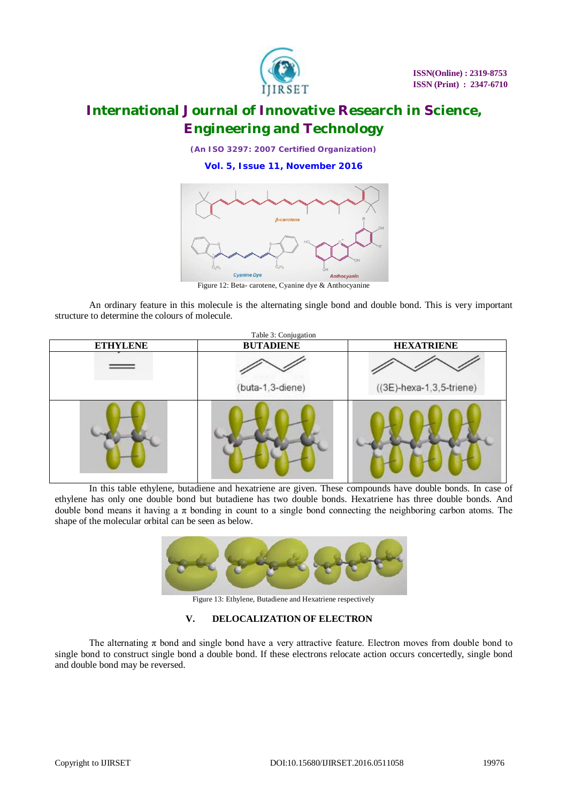

*(An ISO 3297: 2007 Certified Organization)*

**Vol. 5, Issue 11, November 2016**



Figure 12: Beta- carotene, Cyanine dye & Anthocyanine

An ordinary feature in this molecule is the alternating single bond and double bond. This is very important structure to determine the colours of molecule.



In this table ethylene, butadiene and hexatriene are given. These compounds have double bonds. In case of ethylene has only one double bond but butadiene has two double bonds. Hexatriene has three double bonds. And double bond means it having a  $\pi$  bonding in count to a single bond connecting the neighboring carbon atoms. The shape of the molecular orbital can be seen as below.



Figure 13: Ethylene, Butadiene and Hexatriene respectively

### **V. DELOCALIZATION OF ELECTRON**

The alternating  $\pi$  bond and single bond have a very attractive feature. Electron moves from double bond to single bond to construct single bond a double bond. If these electrons relocate action occurs concertedly, single bond and double bond may be reversed.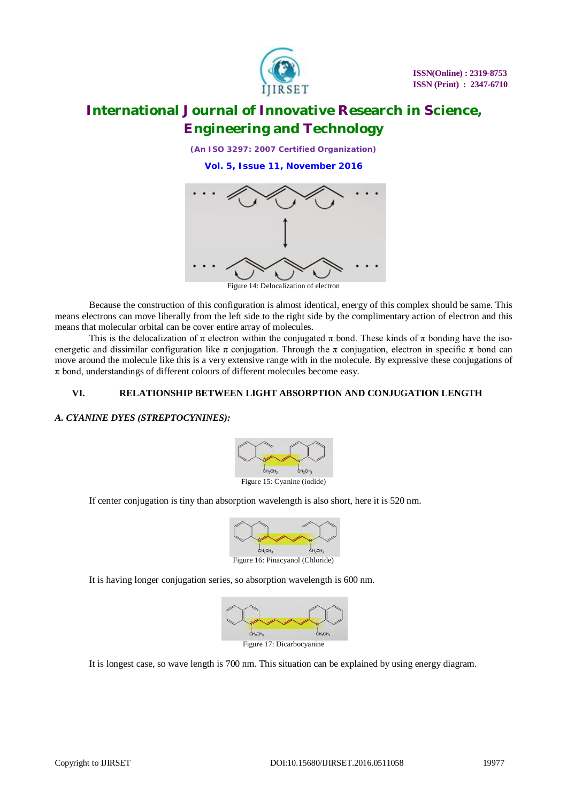

*(An ISO 3297: 2007 Certified Organization)*

**Vol. 5, Issue 11, November 2016**



Figure 14: Delocalization of electron

Because the construction of this configuration is almost identical, energy of this complex should be same. This means electrons can move liberally from the left side to the right side by the complimentary action of electron and this means that molecular orbital can be cover entire array of molecules.

This is the delocalization of  $\pi$  electron within the conjugated  $\pi$  bond. These kinds of  $\pi$  bonding have the isoenergetic and dissimilar configuration like  $\pi$  conjugation. Through the  $\pi$  conjugation, electron in specific  $\pi$  bond can move around the molecule like this is a very extensive range with in the molecule. By expressive these conjugations of  $\pi$  bond, understandings of different colours of different molecules become easy.

### **VI. RELATIONSHIP BETWEEN LIGHT ABSORPTION AND CONJUGATION LENGTH**

### *A. CYANINE DYES (STREPTOCYNINES):*



If center conjugation is tiny than absorption wavelength is also short, here it is 520 nm.



It is having longer conjugation series, so absorption wavelength is 600 nm.



It is longest case, so wave length is 700 nm. This situation can be explained by using energy diagram.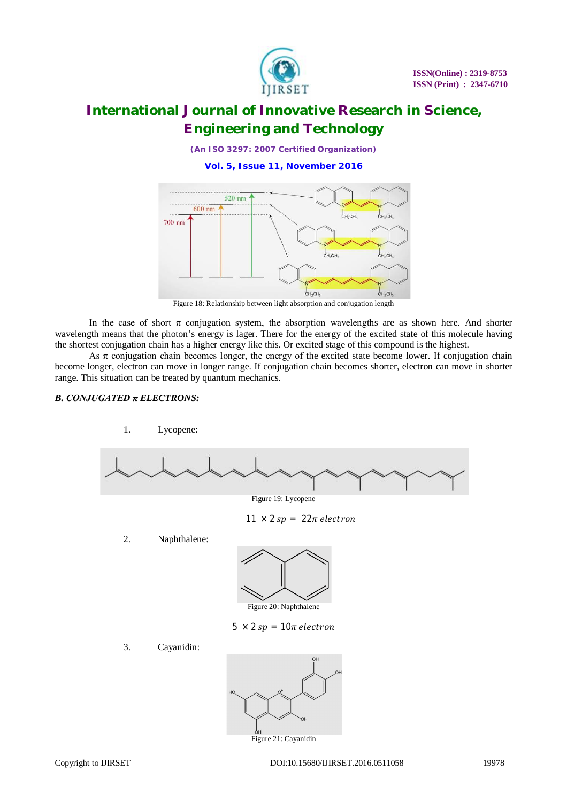

*(An ISO 3297: 2007 Certified Organization)*

**Vol. 5, Issue 11, November 2016**



Figure 18: Relationship between light absorption and conjugation length

In the case of short  $\pi$  conjugation system, the absorption wavelengths are as shown here. And shorter wavelength means that the photon's energy is lager. There for the energy of the excited state of this molecule having the shortest conjugation chain has a higher energy like this. Or excited stage of this compound is the highest.

As  $\pi$  conjugation chain becomes longer, the energy of the excited state become lower. If conjugation chain become longer, electron can move in longer range. If conjugation chain becomes shorter, electron can move in shorter range. This situation can be treated by quantum mechanics.

### *B. CONJUGATED π ELECTRONS:*



Figure 21: Cayanidin